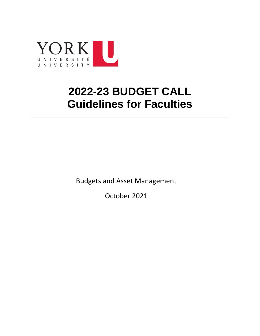

# **2022-23 BUDGET CALL Guidelines for Faculties**

Budgets and Asset Management

October 2021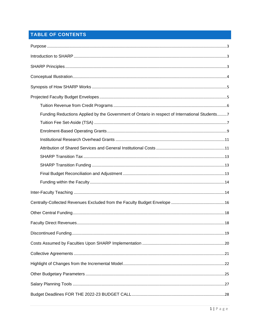# TABLE OF CONTENTS

| Funding Reductions Applied by the Government of Ontario in respect of International Students7 |
|-----------------------------------------------------------------------------------------------|
|                                                                                               |
|                                                                                               |
|                                                                                               |
|                                                                                               |
|                                                                                               |
|                                                                                               |
|                                                                                               |
|                                                                                               |
|                                                                                               |
|                                                                                               |
|                                                                                               |
|                                                                                               |
|                                                                                               |
|                                                                                               |
|                                                                                               |
|                                                                                               |
|                                                                                               |
|                                                                                               |
|                                                                                               |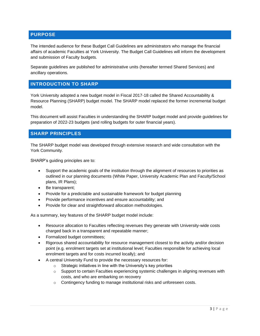## <span id="page-3-0"></span>**PURPOSE**

The intended audience for these Budget Call Guidelines are administrators who manage the financial affairs of academic Faculties at York University. The Budget Call Guidelines will inform the development and submission of Faculty budgets.

Separate guidelines are published for administrative units (hereafter termed Shared Services) and ancillary operations.

## <span id="page-3-1"></span>**INTRODUCTION TO SHARP**

York University adopted a new budget model in Fiscal 2017-18 called the Shared Accountability & Resource Planning (SHARP) budget model. The SHARP model replaced the former incremental budget model.

This document will assist Faculties in understanding the SHARP budget model and provide guidelines for preparation of 2022-23 budgets (and rolling budgets for outer financial years).

### <span id="page-3-2"></span>**SHARP PRINCIPLES**

The SHARP budget model was developed through extensive research and wide consultation with the York Community.

SHARP's guiding principles are to:

- Support the academic goals of the institution through the alignment of resources to priorities as outlined in our planning documents (White Paper, University Academic Plan and Faculty/School plans, IR Plans);
- Be transparent;
- Provide for a predictable and sustainable framework for budget planning
- Provide performance incentives and ensure accountability; and
- Provide for clear and straightforward allocation methodologies.

As a summary, key features of the SHARP budget model include:

- Resource allocation to Faculties reflecting revenues they generate with University-wide costs charged back in a transparent and repeatable manner;
- Formalized budget committees;
- Rigorous shared accountability for resource management closest to the activity and/or decision point (e.g. enrolment targets set at institutional level; Faculties responsible for achieving local enrolment targets and for costs incurred locally); and
- A central University Fund to provide the necessary resources for:
	- $\circ$  Strategic initiatives in line with the University's key priorities
	- $\circ$  Support to certain Faculties experiencing systemic challenges in aligning revenues with costs, and who are embarking on recovery
	- o Contingency funding to manage institutional risks and unforeseen costs.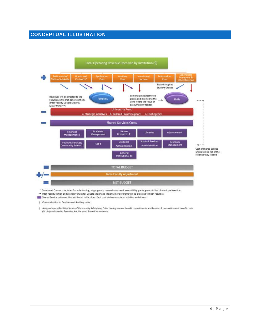## <span id="page-4-0"></span>**CONCEPTUAL ILLUSTRATION**



\* Grants and Contracts includes formula funding, target grants, research overhead, accessibility grants, grants in lieu of municipal taxation.

- \*\* Inter-Faculty tuition and grant revenues for Double Major and Major Minor programs will be allocated to both Faculties.
- Shared Service units cost bins attributed to Faculties. Each cost bin has associated sub-bins and drivers.

† Cost attribution to Faculties and Ancillary units.

# Assigned space (Facilities Services/ Community Safety bin), Collective Agreement benefit commitments and Pension & post-retirement benefit costs (GI bin) attributed to Faculties, Ancillary and Shared Service units.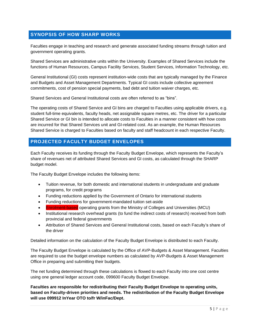## <span id="page-5-0"></span>**SYNOPSIS OF HOW SHARP WORKS**

Faculties engage in teaching and research and generate associated funding streams through tuition and government operating grants.

Shared Services are administrative units within the University. Examples of Shared Services include the functions of Human Resources, Campus Facility Services, Student Services, Information Technology, etc.

General Institutional (GI) costs represent institution-wide costs that are typically managed by the Finance and Budgets and Asset Management Departments. Typical GI costs include collective agreement commitments, cost of pension special payments, bad debt and tuition waiver charges, etc.

Shared Services and General Institutional costs are often referred to as "bins".

The operating costs of Shared Service and GI bins are charged to Faculties using applicable drivers, e.g. student full-time equivalents, faculty heads, net assignable square metres, etc. The driver for a particular Shared Service or GI bin is intended to allocate costs to Faculties in a manner consistent with how costs are incurred for that Shared Services unit and GI-related cost. As an example, the Human Resources Shared Service is charged to Faculties based on faculty and staff headcount in each respective Faculty.

### <span id="page-5-1"></span>**PROJECTED FACULTY BUDGET ENVELOPES**

Each Faculty receives its funding through the Faculty Budget Envelope, which represents the Faculty's share of revenues net of attributed Shared Services and GI costs, as calculated through the SHARP budget model.

The Faculty Budget Envelope includes the following items:

- Tuition revenue, for both domestic and international students in undergraduate and graduate programs, for credit programs
- Funding reductions applied by the Government of Ontario for international students
- Funding reductions for government-mandated tuition set-aside
- Enrolment-based operating grants from the Ministry of Colleges and Universities (MCU)
- Institutional research overhead grants (to fund the indirect costs of research) received from both provincial and federal governments
- Attribution of Shared Services and General Institutional costs, based on each Faculty's share of the driver

Detailed information on the calculation of the Faculty Budget Envelope is distributed to each Faculty.

The Faculty Budget Envelope is calculated by the Office of AVP-Budgets & Asset Management. Faculties are required to use the budget envelope numbers as calculated by AVP-Budgets & Asset Management Office in preparing and submitting their budgets.

The net funding determined through these calculations is flowed to each Faculty into one cost centre using one general ledger account code, 099600 Faculty Budget Envelope.

**Faculties are responsible for redistributing their Faculty Budget Envelope to operating units, based on Faculty-driven priorities and needs. The redistribution of the Faculty Budget Envelope will use 099912 InYear OTO to/fr W/inFac/Dept.**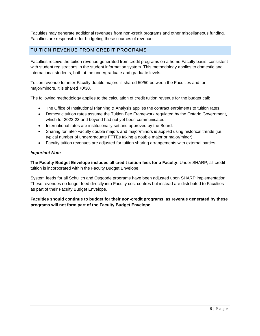Faculties may generate additional revenues from non-credit programs and other miscellaneous funding. Faculties are responsible for budgeting these sources of revenue.

## <span id="page-6-0"></span>TUITION REVENUE FROM CREDIT PROGRAMS

Faculties receive the tuition revenue generated from credit programs on a home Faculty basis, consistent with student registrations in the student information system. This methodology applies to domestic and international students, both at the undergraduate and graduate levels.

Tuition revenue for inter-Faculty double majors is shared 50/50 between the Faculties and for major/minors, it is shared 70/30.

The following methodology applies to the calculation of credit tuition revenue for the budget call:

- The Office of Institutional Planning & Analysis applies the contract enrolments to tuition rates.
- Domestic tuition rates assume the Tuition Fee Framework regulated by the Ontario Government, which for 2022-23 and beyond had not yet been communicated.
- International rates are institutionally set and approved by the Board.
- Sharing for inter-Faculty double majors and major/minors is applied using historical trends (i.e. typical number of undergraduate FFTEs taking a double major or major/minor).
- Faculty tuition revenues are adjusted for tuition sharing arrangements with external parties.

#### *Important Note*

**The Faculty Budget Envelope includes all credit tuition fees for a Faculty**. Under SHARP, all credit tuition is incorporated within the Faculty Budget Envelope.

System feeds for all Schulich and Osgoode programs have been adjusted upon SHARP implementation. These revenues no longer feed directly into Faculty cost centres but instead are distributed to Faculties as part of their Faculty Budget Envelope.

#### **Faculties should continue to budget for their non-credit programs, as revenue generated by these programs will not form part of the Faculty Budget Envelope.**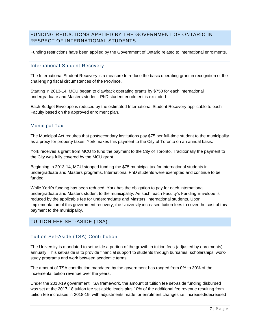## <span id="page-7-0"></span>FUNDING REDUCTIONS APPLIED BY THE GOVERNMENT OF ONTARIO IN RESPECT OF INTERNATIONAL STUDENTS

Funding restrictions have been applied by the Government of Ontario related to international enrolments.

### International Student Recovery

The International Student Recovery is a measure to reduce the basic operating grant in recognition of the challenging fiscal circumstances of the Province.

Starting in 2013-14, MCU began to clawback operating grants by \$750 for each international undergraduate and Masters student. PhD student enrolment is excluded.

Each Budget Envelope is reduced by the estimated International Student Recovery applicable to each Faculty based on the approved enrolment plan.

#### Municipal Tax

The Municipal Act requires that postsecondary institutions pay \$75 per full-time student to the municipality as a proxy for property taxes. York makes this payment to the City of Toronto on an annual basis.

York receives a grant from MCU to fund the payment to the City of Toronto. Traditionally the payment to the City was fully covered by the MCU grant.

Beginning in 2013-14, MCU stopped funding the \$75 municipal tax for international students in undergraduate and Masters programs. International PhD students were exempted and continue to be funded.

While York's funding has been reduced, York has the obligation to pay for each international undergraduate and Masters student to the municipality. As such, each Faculty's Funding Envelope is reduced by the applicable fee for undergraduate and Masters' international students. Upon implementation of this government recovery, the University increased tuition fees to cover the cost of this payment to the municipality.

## <span id="page-7-1"></span>TUITION FEE SET-ASIDE (TSA)

#### Tuition Set-Aside (TSA) Contribution

The University is mandated to set-aside a portion of the growth in tuition fees (adjusted by enrolments) annually. This set-aside is to provide financial support to students through bursaries, scholarships, workstudy programs and work between academic terms.

The amount of TSA contribution mandated by the government has ranged from 0% to 30% of the incremental tuition revenue over the years.

Under the 2018-19 government TSA framework, the amount of tuition fee set-aside funding disbursed was set at the 2017-18 tuition fee set-aside levels plus 10% of the additional fee revenue resulting from tuition fee increases in 2018-19, with adjustments made for enrolment changes i.e. increased/decreased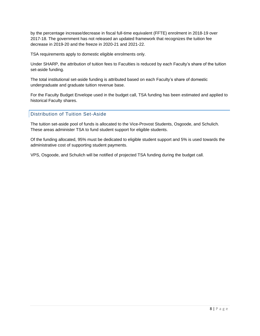by the percentage increase/decrease in fiscal full-time equivalent (FFTE) enrolment in 2018-19 over 2017-18. The government has not released an updated framework that recognizes the tuition fee decrease in 2019-20 and the freeze in 2020-21 and 2021-22.

TSA requirements apply to domestic eligible enrolments only.

Under SHARP, the attribution of tuition fees to Faculties is reduced by each Faculty's share of the tuition set-aside funding.

The total institutional set-aside funding is attributed based on each Faculty's share of domestic undergraduate and graduate tuition revenue base.

For the Faculty Budget Envelope used in the budget call, TSA funding has been estimated and applied to historical Faculty shares.

### Distribution of Tuition Set-Aside

The tuition set-aside pool of funds is allocated to the Vice-Provost Students, Osgoode, and Schulich. These areas administer TSA to fund student support for eligible students.

Of the funding allocated, 95% must be dedicated to eligible student support and 5% is used towards the administrative cost of supporting student payments.

VPS, Osgoode, and Schulich will be notified of projected TSA funding during the budget call.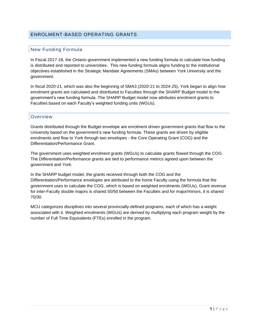## <span id="page-9-0"></span>ENROLMENT-BASED OPERATING GRANTS

### New Funding Formula

In Fiscal 2017-18, the Ontario government implemented a new funding formula to calculate how funding is distributed and reported to universities. This new funding formula aligns funding to the institutional objectives established in the Strategic Mandate Agreements (SMAs) between York University and the government.

In fiscal 2020-21, which was also the beginning of SMA3 (2020-21 to 2024-25), York began to align how enrolment grants are calculated and distributed to Faculties through the SHARP Budget model to the government's new funding formula. The SHARP Budget model now attributes enrolment grants to Faculties based on each Faculty's weighted funding units (WGUs).

#### **Overview**

Grants distributed through the Budget envelope are enrolment driven government grants that flow to the University based on the government's new funding formula. These grants are driven by eligible enrolments and flow to York through two envelopes - the Core Operating Grant (COG) and the Differentiation/Performance Grant.

The government uses weighted enrolment grants (WGUs) to calculate grants flowed through the COG. The Differentiation/Performance grants are tied to performance metrics agreed upon between the government and York.

In the SHARP budget model, the grants received through both the COG and the Differentiation/Performance envelopes are attributed to the home Faculty using the formula that the government uses to calculate the COG, which is based on weighted enrolments (WGUs). Grant revenue for inter-Faculty double majors is shared 50/50 between the Faculties and for major/minors, it is shared 70/30.

MCU categorizes disciplines into several provincially-defined programs, each of which has a weight associated with it. Weighted enrolments (WGUs) are derived by multiplying each program weight by the number of Full Time Equivalents (FTEs) enrolled in the program.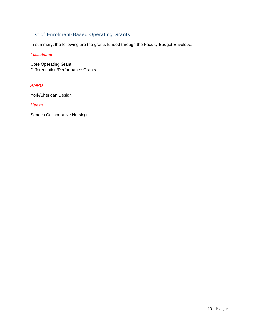## List of Enrolment-Based Operating Grants

In summary, the following are the grants funded through the Faculty Budget Envelope:

#### *Institutional*

Core Operating Grant Differentiation/Performance Grants

#### *AMPD*

York/Sheridan Design

*Health*

Seneca Collaborative Nursing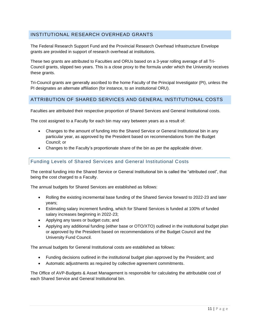## <span id="page-11-0"></span>INSTITUTIONAL RESEARCH OVERHEAD GRANTS

The Federal Research Support Fund and the Provincial Research Overhead Infrastructure Envelope grants are provided in support of research overhead at institutions.

These two grants are attributed to Faculties and ORUs based on a 3-year rolling average of all Tri-Council grants, slipped two years. This is a close proxy to the formula under which the University receives these grants.

Tri-Council grants are generally ascribed to the home Faculty of the Principal Investigator (PI), unless the PI designates an alternate affiliation (for instance, to an institutional ORU).

### <span id="page-11-1"></span>ATTRIBUTION OF SHARED SERVICES AND GENERAL INSTITUTIONAL COSTS

Faculties are attributed their respective proportion of Shared Services and General Institutional costs.

The cost assigned to a Faculty for each bin may vary between years as a result of:

- Changes to the amount of funding into the Shared Service or General Institutional bin in any particular year, as approved by the President based on recommendations from the Budget Council; or
- Changes to the Faculty's proportionate share of the bin as per the applicable driver.

### Funding Levels of Shared Services and General Institutional Costs

The central funding into the Shared Service or General Institutional bin is called the "attributed cost", that being the cost charged to a Faculty.

The annual budgets for Shared Services are established as follows:

- Rolling the existing incremental base funding of the Shared Service forward to 2022-23 and later years;
- Estimating salary increment funding, which for Shared Services is funded at 100% of funded salary increases beginning in 2022-23;
- Applying any taxes or budget cuts; and
- Applying any additional funding (either base or OTO/XTO) outlined in the institutional budget plan or approved by the President based on recommendations of the Budget Council and the University Fund Council.

The annual budgets for General Institutional costs are established as follows:

- Funding decisions outlined in the institutional budget plan approved by the President; and
- Automatic adjustments as required by collective agreement commitments.

The Office of AVP-Budgets & Asset Management is responsible for calculating the attributable cost of each Shared Service and General Institutional bin.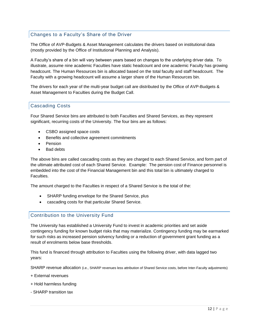## Changes to a Faculty's Share of the Driver

The Office of AVP-Budgets & Asset Management calculates the drivers based on institutional data (mostly provided by the Office of Institutional Planning and Analysis).

A Faculty's share of a bin will vary between years based on changes to the underlying driver data. To illustrate, assume nine academic Faculties have static headcount and one academic Faculty has growing headcount. The Human Resources bin is allocated based on the total faculty and staff headcount. The Faculty with a growing headcount will assume a larger share of the Human Resources bin.

The drivers for each year of the multi-year budget call are distributed by the Office of AVP-Budgets & Asset Management to Faculties during the Budget Call.

## Cascading Costs

Four Shared Service bins are attributed to both Faculties and Shared Services, as they represent significant, recurring costs of the University. The four bins are as follows:

- CSBO assigned space costs
- Benefits and collective agreement commitments
- Pension
- Bad debts

The above bins are called cascading costs as they are charged to each Shared Service, and form part of the ultimate attributed cost of each Shared Service. Example: The pension cost of Finance personnel is embedded into the cost of the Financial Management bin and this total bin is ultimately charged to Faculties.

The amount charged to the Faculties in respect of a Shared Service is the total of the:

- SHARP funding envelope for the Shared Service, plus
- cascading costs for that particular Shared Service.

#### Contribution to the University Fund

The University has established a University Fund to invest in academic priorities and set aside contingency funding for known budget risks that may materialize. Contingency funding may be earmarked for such risks as increased pension solvency funding or a reduction of government grant funding as a result of enrolments below base thresholds.

This fund is financed through attribution to Faculties using the following driver, with data lagged two years:

SHARP revenue allocation (i.e., SHARP revenues less attribution of Shared Service costs, before Inter-Faculty adjustments)

- + External revenues
- + Hold harmless funding
- SHARP transition tax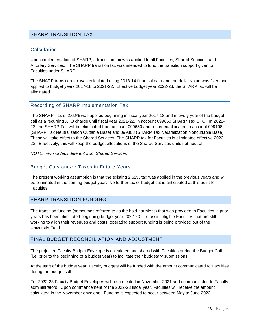#### <span id="page-13-0"></span>SHARP TRANSITION TAX

#### **Calculation**

Upon implementation of SHARP, a transition tax was applied to all Faculties, Shared Services, and Ancillary Services. The SHARP transition tax was intended to fund the transition support given to Faculties under SHARP.

The SHARP transition tax was calculated using 2013-14 financial data and the dollar value was fixed and applied to budget years 2017-18 to 2021-22. Effective budget year 2022-23, the SHARP tax will be eliminated.

#### Recording of SHARP Implementation Tax

The SHARP Tax of 2.62% was applied beginning in fiscal year 2017-18 and in every year of the budget call as a recurring XTO charge until fiscal year 2021-22, in account 099650 SHARP Tax OTO. In 2022- 23, the SHARP Tax will be eliminated from account 099650 and recorded/allocated in account 099108 (SHARP Tax Neutralization Cuttable Base) and 099308 (SHARP Tax Neutralization Noncuttable Base). These will take effect to the Shared Services. The SHARP tax for Faculties is eliminated effective 2022- 23. Effectively, this will keep the budget allocations of the Shared Services units net neutral.

#### *NOTE: revision/edit different from Shared Services*

#### Budget Cuts and/or Taxes in Future Years

The present working assumption is that the existing 2.62% tax was applied in the previous years and will be eliminated in the coming budget year. No further tax or budget cut is anticipated at this point for **Faculties** 

#### <span id="page-13-1"></span>SHARP TRANSITION FUNDING

The transition funding (sometimes referred to as the hold harmless) that was provided to Faculties in prior years has been eliminated beginning budget year 2022-23. To assist eligible Faculties that are still working to align their revenues and costs, operating support funding is being provided out of the University Fund.

#### <span id="page-13-2"></span>FINAL BUDGET RECONCILIATION AND ADJUSTMENT

The projected Faculty Budget Envelope is calculated and shared with Faculties during the Budget Call (i.e. prior to the beginning of a budget year) to facilitate their budgetary submissions.

At the start of the budget year, Faculty budgets will be funded with the amount communicated to Faculties during the budget call.

For 2022-23 Faculty Budget Envelopes will be projected in November 2021 and communicated to Faculty administrators. Upon commencement of the 2022-23 fiscal year, Faculties will receive the amount calculated in the November envelope. Funding is expected to occur between May to June 2022.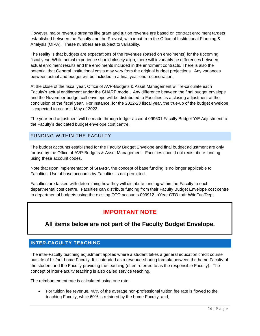However, major revenue streams like grant and tuition revenue are based on contract enrolment targets established between the Faculty and the Provost, with input from the Office of Institutional Planning & Analysis (OIPA). These numbers are subject to variability.

The reality is that budgets are expectations of the revenues (based on enrolments) for the upcoming fiscal year. While actual experience should closely align, there will invariably be differences between actual enrolment results and the enrolments included in the enrolment contracts. There is also the potential that General Institutional costs may vary from the original budget projections. Any variances between actual and budget will be included in a final year-end reconciliation.

At the close of the fiscal year, Office of AVP-Budgets & Asset Management will re-calculate each Faculty's actual entitlement under the SHARP model. Any difference between the final budget envelope and the November budget call envelope will be distributed to Faculties as a closing adjustment at the conclusion of the fiscal year. For instance, for the 2022-23 fiscal year, the true-up of the budget envelope is expected to occur in May of 2022.

The year-end adjustment will be made through ledger account 099601 Faculty Budget Y/E Adjustment to the Faculty's dedicated budget envelope cost centre.

## <span id="page-14-0"></span>FUNDING WITHIN THE FACULTY

The budget accounts established for the Faculty Budget Envelope and final budget adjustment are only for use by the Office of AVP-Budgets & Asset Management. Faculties should not redistribute funding using these account codes.

Note that upon implementation of SHARP, the concept of base funding is no longer applicable to Faculties. Use of base accounts by Faculties is not permitted.

Faculties are tasked with determining how they will distribute funding within the Faculty to each departmental cost centre. Faculties can distribute funding from their Faculty Budget Envelope cost centre to departmental budgets using the existing OTO accounts 099912 InYear OTO to/fr W/inFac/Dept.

# **IMPORTANT NOTE**

# **All items below are not part of the Faculty Budget Envelope.**

## <span id="page-14-1"></span>**INTER-FACULTY TEACHING**

The inter-Faculty teaching adjustment applies where a student takes a general education credit course outside of his/her home Faculty. It is intended as a revenue-sharing formula between the home Faculty of the student and the Faculty providing the teaching (often referred to as the responsible Faculty). The concept of inter-Faculty teaching is also called service teaching.

The reimbursement rate is calculated using one rate:

• For tuition fee revenue, 40% of the average non-professional tuition fee rate is flowed to the teaching Faculty, while 60% is retained by the home Faculty; and,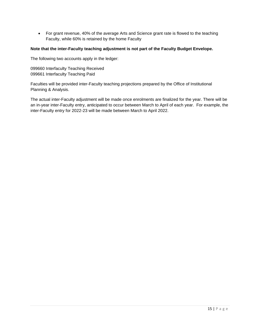• For grant revenue, 40% of the average Arts and Science grant rate is flowed to the teaching Faculty, while 60% is retained by the home Faculty

#### **Note that the inter-Faculty teaching adjustment is not part of the Faculty Budget Envelope.**

The following two accounts apply in the ledger:

099660 Interfaculty Teaching Received 099661 Interfaculty Teaching Paid

Faculties will be provided inter-Faculty teaching projections prepared by the Office of Institutional Planning & Analysis.

The actual inter-Faculty adjustment will be made once enrolments are finalized for the year. There will be an in-year inter-Faculty entry, anticipated to occur between March to April of each year. For example, the inter-Faculty entry for 2022-23 will be made between March to April 2022.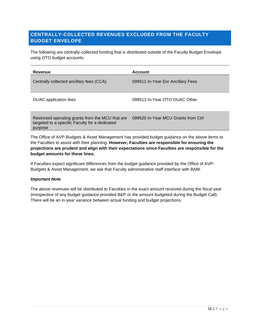## <span id="page-16-0"></span>**CENTRALLY-COLLECTED REVENUES EXCLUDED FROM THE FACULTY BUDGET ENVELOPE**

The following are centrally-collected funding that is distributed outside of the Faculty Budget Envelope using OTO budget accounts:

| Revenue                                                                                                        | <b>Account</b>                      |
|----------------------------------------------------------------------------------------------------------------|-------------------------------------|
| Centrally collected ancillary fees (CCA)                                                                       | 099511 In-Year Enr Ancillary Fees   |
| <b>OUAC</b> application fees                                                                                   | 099513 In-Year OTO OUAC Other       |
| Restricted operating grants from the MCU that are<br>targeted to a specific Faculty for a dedicated<br>purpose | 099520 In-Year MCU Grants from Ctrl |

The Office of AVP-Budgets & Asset Management has provided budget guidance on the above items to the Faculties to assist with their planning. **However, Faculties are responsible for ensuring the projections are prudent and align with their expectations since Faculties are responsible for the budget amounts for these lines.** 

If Faculties expect significant differences from the budget guidance provided by the Office of AVP-Budgets & Asset Management, we ask that Faculty administrative staff interface with BAM.

#### *Important Note*

The above revenues will be distributed to Faculties in the exact amount received during the fiscal year (irrespective of any budget guidance provided B&P or the amount budgeted during the Budget Call). There will be an in-year variance between actual funding and budget projections.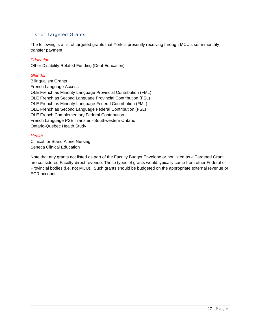## List of Targeted Grants

The following is a list of targeted grants that York is presently receiving through MCU's semi-monthly transfer payment.

#### *Education*

Other Disability Related Funding (Deaf Education)

#### *Glendon*

Bilingualism Grants French Language Access OLE French as Minority Language Provincial Contribution (FML) OLE French as Second Language Provincial Contribution (FSL) OLE French as Minority Language Federal Contribution (FML) OLE French as Second Language Federal Contribution (FSL) OLE French Complementary Federal Contribution French Language PSE Transfer - Southwestern Ontario Ontario-Quebec Health Study

#### *Health*

Clinical for Stand Alone Nursing Seneca Clinical Education

Note that any grants not listed as part of the Faculty Budget Envelope or not listed as a Targeted Grant are considered Faculty-direct revenue. These types of grants would typically come from other Federal or Provincial bodies (i.e. not MCU). Such grants should be budgeted on the appropriate external revenue or ECR account.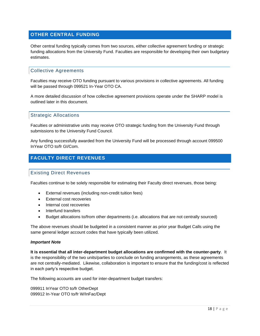## <span id="page-18-0"></span>**OTHER CENTRAL FUNDING**

Other central funding typically comes from two sources, either collective agreement funding or strategic funding allocations from the University Fund. Faculties are responsible for developing their own budgetary estimates.

#### Collective Agreements

Faculties may receive OTO funding pursuant to various provisions in collective agreements. All funding will be passed through 099521 In-Year OTO CA.

A more detailed discussion of how collective agreement provisions operate under the SHARP model is outlined later in this document.

#### Strategic Allocations

Faculties or administrative units may receive OTO strategic funding from the University Fund through submissions to the University Fund Council.

Any funding successfully awarded from the University Fund will be processed through account 099500 InYear OTO to/fr GI/Com.

## <span id="page-18-1"></span>**FACULTY DIRECT REVENUES**

### Existing Direct Revenues

Faculties continue to be solely responsible for estimating their Faculty direct revenues, those being:

- External revenues (including non-credit tuition fees)
- External cost recoveries
- Internal cost recoveries
- Interfund transfers
- Budget allocations to/from other departments (i.e. allocations that are not centrally sourced)

The above revenues should be budgeted in a consistent manner as prior year Budget Calls using the same general ledger account codes that have typically been utilized.

#### *Important Note*

**It is essential that all inter-department budget allocations are confirmed with the counter-party**. It is the responsibility of the two units/parties to conclude on funding arrangements, as these agreements are not centrally-mediated. Likewise, collaboration is important to ensure that the funding/cost is reflected in each party's respective budget.

The following accounts are used for inter-department budget transfers:

099911 InYear OTO to/fr OtherDept 099912 In-Year OTO to/fr W/InFac/Dept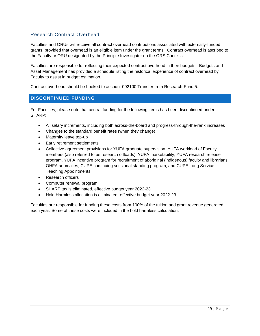## Research Contract Overhead

Faculties and ORUs will receive all contract overhead contributions associated with externally-funded grants, provided that overhead is an eligible item under the grant terms. Contract overhead is ascribed to the Faculty or ORU designated by the Principle Investigator on the ORS Checklist.

Faculties are responsible for reflecting their expected contract overhead in their budgets. Budgets and Asset Management has provided a schedule listing the historical experience of contract overhead by Faculty to assist in budget estimation.

Contract overhead should be booked to account 092100 Transfer from Research-Fund 5.

### <span id="page-19-0"></span>**DISCONTINUED FUNDING**

For Faculties, please note that central funding for the following items has been discontinued under SHARP:

- All salary increments, including both across-the-board and progress-through-the-rank increases
- Changes to the standard benefit rates (when they change)
- Maternity leave top-up
- Early retirement settlements
- Collective agreement provisions for YUFA graduate supervision, YUFA workload of Faculty members (also referred to as research offloads), YUFA marketability, YUFA research release program, YUFA incentive program for recruitment of aboriginal (indigenous) faculty and librarians, OHFA anomalies, CUPE continuing sessional standing program, and CUPE Long Service Teaching Appointments
- Research officers
- Computer renewal program
- SHARP tax is eliminated, effective budget year 2022-23
- Hold Harmless allocation is eliminated, effective budget year 2022-23

Faculties are responsible for funding these costs from 100% of the tuition and grant revenue generated each year. Some of these costs were included in the hold harmless calculation.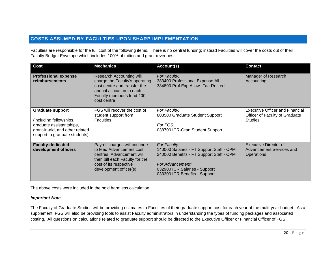## **COSTS ASSUMED BY FACULTIES UPON SHARP IMPLEMENTATION**

Faculties are responsible for the full cost of the following items. There is no central funding; instead Faculties will cover the costs out of their Faculty Budget Envelope which includes 100% of tuition and grant revenues.

<span id="page-20-0"></span>

| Cost                                                                                                                                               | <b>Mechanics</b>                                                                                                                                                              | Account(s)                                                                                                                                                                                 | <b>Contact</b>                                                                             |
|----------------------------------------------------------------------------------------------------------------------------------------------------|-------------------------------------------------------------------------------------------------------------------------------------------------------------------------------|--------------------------------------------------------------------------------------------------------------------------------------------------------------------------------------------|--------------------------------------------------------------------------------------------|
| <b>Professional expense</b><br>reimbursements                                                                                                      | Research Accounting will<br>charge the Faculty's operating<br>cost centre and transfer the<br>annual allocation to each<br>Faculty member's fund 400<br>cost centre           | For Faculty:<br>383400 Professional Expense All<br>384800 Prof Exp Allow- Fac-Retired                                                                                                      | Manager of Research<br>Accounting                                                          |
| <b>Graduate support</b><br>(including fellowships,<br>graduate assistantships,<br>grant-in-aid, and other related<br>support to graduate students) | FGS will recover the cost of<br>student support from<br>Faculties.                                                                                                            | For Faculty:<br>803500 Graduate Student Support<br>For FGS:<br>038700 ICR-Grad Student Support                                                                                             | <b>Executive Officer and Financial</b><br>Officer of Faculty of Graduate<br><b>Studies</b> |
| <b>Faculty-dedicated</b><br>development officers                                                                                                   | Payroll charges will continue<br>to feed Advancement cost<br>centres. Advancement will<br>then bill each Faculty for the<br>cost of its respective<br>development officer(s). | For Faculty:<br>140000 Salaries - FT Support Staff - CPM<br>240000 Benefits - FT Support Staff - CPM<br>For Advancement:<br>032900 ICR Salaries - Support<br>033300 ICR Benefits - Support | Executive Director of<br>Advancement Services and<br>Operations                            |

The above costs were included in the hold harmless calculation.

#### *Important Note*

The Faculty of Graduate Studies will be providing estimates to Faculties of their graduate support cost for each year of the multi-year budget. As a supplement, FGS will also be providing tools to assist Faculty administrators in understanding the types of funding packages and associated costing. All questions on calculations related to graduate support should be directed to the Executive Officer or Financial Officer of FGS.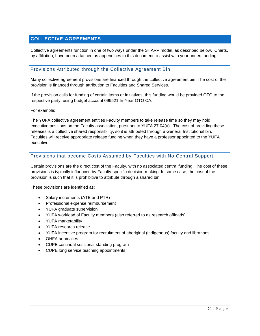## <span id="page-21-0"></span>**COLLECTIVE AGREEMENTS**

Collective agreements function in one of two ways under the SHARP model, as described below. Charts, by affiliation, have been attached as appendices to this document to assist with your understanding.

#### Provisions Attributed through the Collective Agreement Bin

Many collective agreement provisions are financed through the collective agreement bin. The cost of the provision is financed through attribution to Faculties and Shared Services.

If the provision calls for funding of certain items or initiatives, this funding would be provided OTO to the respective party, using budget account 099521 In-Year OTO CA.

For example:

The YUFA collective agreement entitles Faculty members to take release time so they may hold executive positions on the Faculty association, pursuant to YUFA 27.04(a). The cost of providing these releases is a collective shared responsibility, so it is attributed through a General Institutional bin. Faculties will receive appropriate release funding when they have a professor appointed to the YUFA executive.

### Provisions that become Costs Assumed by Faculties with No Central Support

Certain provisions are the direct cost of the Faculty, with no associated central funding. The cost of these provisions is typically influenced by Faculty-specific decision-making. In some case, the cost of the provision is such that it is prohibitive to attribute through a shared bin.

These provisions are identified as:

- Salary increments (ATB and PTR)
- Professional expense reimbursement
- YUFA graduate supervision
- YUFA workload of Faculty members (also referred to as research offloads)
- YUFA marketability
- YUFA research release
- YUFA incentive program for recruitment of aboriginal (indigenous) faculty and librarians
- OHFA anomalies
- CUPE continual sessional standing program
- CUPE long service teaching appointments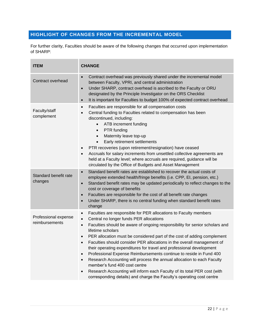## <span id="page-22-0"></span>**HIGHLIGHT OF CHANGES FROM THE INCREMENTAL MODEL**

For further clarity, Faculties should be aware of the following changes that occurred upon implementation of SHARP:

| <b>ITEM</b>                            | <b>CHANGE</b>                                                                                                                                                                                                                                                                                                                                                                                                                                                                                                                                                                                                                                                                                                                                                                                                                                                                              |
|----------------------------------------|--------------------------------------------------------------------------------------------------------------------------------------------------------------------------------------------------------------------------------------------------------------------------------------------------------------------------------------------------------------------------------------------------------------------------------------------------------------------------------------------------------------------------------------------------------------------------------------------------------------------------------------------------------------------------------------------------------------------------------------------------------------------------------------------------------------------------------------------------------------------------------------------|
| Contract overhead                      | Contract overhead was previously shared under the incremental model<br>$\bullet$<br>between Faculty, VPRI, and central administration<br>Under SHARP, contract overhead is ascribed to the Faculty or ORU<br>$\bullet$<br>designated by the Principle Investigator on the ORS Checklist<br>It is important for Faculties to budget 100% of expected contract overhead<br>$\bullet$                                                                                                                                                                                                                                                                                                                                                                                                                                                                                                         |
| Faculty/staff<br>complement            | Faculties are responsible for all compensation costs<br>$\bullet$<br>Central funding to Faculties related to compensation has been<br>discontinued, including:<br>ATB increment funding<br>$\bullet$<br>PTR funding<br>$\bullet$<br>Maternity leave top-up<br>$\bullet$<br>Early retirement settlements<br>$\bullet$<br>PTR recoveries (upon retirement/resignation) have ceased<br>$\bullet$<br>Accruals for salary increments from unsettled collective agreements are<br>$\bullet$<br>held at a Faculty level; where accruals are required, guidance will be<br>circulated by the Office of Budgets and Asset Management                                                                                                                                                                                                                                                                |
| Standard benefit rate<br>changes       | Standard benefit rates are established to recover the actual costs of<br>$\bullet$<br>employee extended health/fringe benefits (i.e. CPP, EI, pension, etc.)<br>Standard benefit rates may be updated periodically to reflect changes to the<br>$\bullet$<br>cost or coverage of benefits<br>Faculties are responsible for the cost of all benefit rate changes<br>$\bullet$<br>Under SHARP, there is no central funding when standard benefit rates<br>$\bullet$<br>change                                                                                                                                                                                                                                                                                                                                                                                                                |
| Professional expense<br>reimbursements | Faculties are responsible for PER allocations to Faculty members<br>$\bullet$<br>Central no longer funds PER allocations<br>$\bullet$<br>Faculties should be aware of ongoing responsibility for senior scholars and<br>$\bullet$<br>lifetime scholars<br>PER allocation must be considered part of the cost of adding complement<br>$\bullet$<br>Faculties should consider PER allocations in the overall management of<br>$\bullet$<br>their operating expenditures for travel and professional development<br>Professional Expense Reimbursements continue to reside in Fund 400<br>$\bullet$<br>Research Accounting will process the annual allocation to each Faculty<br>$\bullet$<br>member's fund 400 cost centre<br>Research Accounting will inform each Faculty of its total PER cost (with<br>$\bullet$<br>corresponding details) and charge the Faculty's operating cost centre |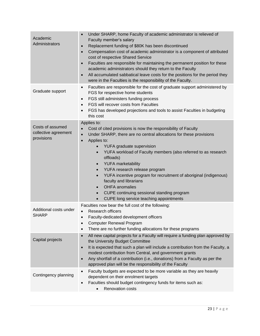| Academic<br>Administrators                             | Under SHARP, home Faculty of academic administrator is relieved of<br>Faculty member's salary<br>Replacement funding of \$80K has been discontinued<br>$\bullet$<br>Compensation cost of academic administrator is a component of attributed<br>$\bullet$<br>cost of respective Shared Service<br>Faculties are responsible for maintaining the permanent position for these<br>$\bullet$<br>academic administrators should they return to the Faculty<br>All accumulated sabbatical leave costs for the positions for the period they<br>were in the Faculties is the responsibility of the Faculty.                                                                             |
|--------------------------------------------------------|-----------------------------------------------------------------------------------------------------------------------------------------------------------------------------------------------------------------------------------------------------------------------------------------------------------------------------------------------------------------------------------------------------------------------------------------------------------------------------------------------------------------------------------------------------------------------------------------------------------------------------------------------------------------------------------|
| Graduate support                                       | Faculties are responsible for the cost of graduate support administered by<br>$\bullet$<br>FGS for respective home students<br>FGS still administers funding process<br>$\bullet$<br>FGS will recover costs from Faculties<br>$\bullet$<br>FGS has developed projections and tools to assist Faculties in budgeting<br>this cost                                                                                                                                                                                                                                                                                                                                                  |
| Costs of assumed<br>collective agreement<br>provisions | Applies to:<br>Cost of cited provisions is now the responsibility of Faculty<br>Under SHARP, there are no central allocations for these provisions<br>$\bullet$<br>Applies to:<br>$\bullet$<br>YUFA graduate supervision<br>YUFA workload of Faculty members (also referred to as research<br>$\bullet$<br>offloads)<br><b>YUFA</b> marketability<br>$\bullet$<br>YUFA research release program<br>$\bullet$<br>YUFA incentive program for recruitment of aboriginal (indigenous)<br>$\bullet$<br>faculty and librarians<br><b>OHFA</b> anomalies<br>$\bullet$<br>CUPE continuing sessional standing program<br>$\bullet$<br>CUPE long service teaching appointments<br>$\bullet$ |
| Additional costs under<br><b>SHARP</b>                 | Faculties now bear the full cost of the following:<br>Research officers<br>Faculty-dedicated development officers<br><b>Computer Renewal Program</b><br>There are no further funding allocations for these programs                                                                                                                                                                                                                                                                                                                                                                                                                                                               |
| Capital projects                                       | All new capital projects for a Faculty will require a funding plan approved by<br>$\bullet$<br>the University Budget Committee<br>It is expected that such a plan will include a contribution from the Faculty, a<br>$\bullet$<br>modest contribution from Central, and government grants<br>Any shortfall of a contribution (i.e., donations) from a Faculty as per the<br>$\bullet$<br>approved plan will be the responsibility of the Faculty                                                                                                                                                                                                                                  |
| Contingency planning                                   | Faculty budgets are expected to be more variable as they are heavily<br>dependent on their enrolment targets<br>Faculties should budget contingency funds for items such as:<br>$\bullet$<br><b>Renovation costs</b><br>$\bullet$                                                                                                                                                                                                                                                                                                                                                                                                                                                 |
|                                                        |                                                                                                                                                                                                                                                                                                                                                                                                                                                                                                                                                                                                                                                                                   |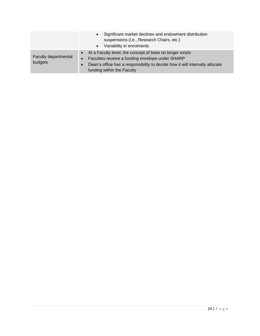|                                 | Significant market declines and endowment distribution<br>$\bullet$<br>suspensions (i.e., Research Chairs, etc.)<br>Variability in enrolments<br>$\bullet$                                                                                |
|---------------------------------|-------------------------------------------------------------------------------------------------------------------------------------------------------------------------------------------------------------------------------------------|
| Faculty departmental<br>budgets | • At a Faculty level, the concept of base no longer exists<br>Faculties receive a funding envelope under SHARP<br>$\bullet$<br>Dean's office has a responsibility to decide how it will internally allocate<br>funding within the Faculty |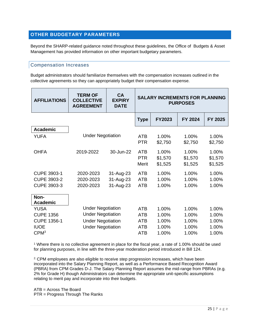## <span id="page-25-0"></span>**OTHER BUDGETARY PARAMETERS**

Beyond the SHARP-related guidance noted throughout these guidelines, the Office of Budgets & Asset Management has provided information on other important budgetary parameters.

#### Compensation Increases

Budget administrators should familiarize themselves with the compensation increases outlined in the collective agreements so they can appropriately budget their compensation expense.

| <b>AFFILIATIONS</b>     | <b>TERM OF</b><br><b>COLLECTIVE</b><br><b>AGREEMENT</b> | <b>CA</b><br><b>EXPIRY</b><br><b>DATE</b> | <b>SALARY INCREMENTS FOR PLANNING</b><br><b>PURPOSES</b> |                             |                             |                             |
|-------------------------|---------------------------------------------------------|-------------------------------------------|----------------------------------------------------------|-----------------------------|-----------------------------|-----------------------------|
|                         |                                                         |                                           | <b>Type</b>                                              | FY2023                      | <b>FY 2024</b>              | FY 2025                     |
| <b>Academic</b>         |                                                         |                                           |                                                          |                             |                             |                             |
| YUFA                    | <b>Under Negotiation</b>                                |                                           | <b>ATB</b><br><b>PTR</b>                                 | 1.00%<br>\$2,750            | 1.00%<br>\$2,750            | 1.00%<br>\$2,750            |
| <b>OHFA</b>             | 2019-2022                                               | 30-Jun-22                                 | <b>ATB</b><br><b>PTR</b><br>Merit                        | 1.00%<br>\$1,570<br>\$1,525 | 1.00%<br>\$1,570<br>\$1,525 | 1.00%<br>\$1,570<br>\$1,525 |
| <b>CUPE 3903-1</b>      | 2020-2023                                               | 31-Aug-23                                 | <b>ATB</b>                                               | 1.00%                       | 1.00%                       | 1.00%                       |
| <b>CUPE 3903-2</b>      | 2020-2023                                               | 31-Aug-23                                 | <b>ATB</b>                                               | 1.00%                       | 1.00%                       | 1.00%                       |
| CUPE 3903-3             | 2020-2023                                               | 31-Aug-23                                 | <b>ATB</b>                                               | 1.00%                       | 1.00%                       | 1.00%                       |
| Non-<br><b>Academic</b> |                                                         |                                           |                                                          |                             |                             |                             |
| <b>YUSA</b>             |                                                         | <b>Under Negotiation</b>                  |                                                          | 1.00%                       | 1.00%                       | 1.00%                       |
| <b>CUPE 1356</b>        | <b>Under Negotiation</b>                                |                                           | <b>ATB</b>                                               | 1.00%                       | 1.00%                       | 1.00%                       |
| <b>CUPE 1356-1</b>      | <b>Under Negotiation</b>                                |                                           | <b>ATB</b>                                               | 1.00%                       | 1.00%                       | 1.00%                       |
| <b>IUOE</b>             | <b>Under Negotiation</b>                                |                                           | <b>ATB</b>                                               | 1.00%                       | 1.00%                       | 1.00%                       |
| CPM <sup>3</sup>        |                                                         |                                           | <b>ATB</b>                                               | 1.00%                       | 1.00%                       | 1.00%                       |

<sup>1</sup> Where there is no collective agreement in place for the fiscal year, a rate of 1.00% should be used for planning purposes, in line with the three-year moderation period introduced in Bill 124.

<sup>2.</sup> CPM employees are also eligible to receive step progression increases, which have been incorporated into the Salary Planning Report, as well as a Performance Based Recognition Award (PBRA) from CPM Grades D-J. The Salary Planning Report assumes the mid-range from PBRAs (e.g. 2% for Grade H) though Administrators can determine the appropriate unit-specific assumptions relating to merit pay and incorporate into their budgets.

ATB = Across The Board PTR = Progress Through The Ranks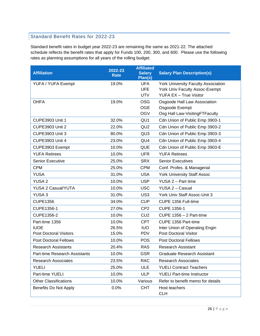## Standard Benefit Rates for 2022-23

Standard benefit rates in budget year 2022-23 are remaining the same as 2021-22. The attached schedule reflects the benefit rates that apply for Funds 100, 200, 300, and 600. Please use the following rates as planning assumptions for all years of the rolling budget.

| <b>Affiliation</b>            | 2022-23<br><b>Rate</b> | <b>Affiliated</b><br><b>Salary</b><br>Plan(s) | <b>Salary Plan Description(s)</b>          |
|-------------------------------|------------------------|-----------------------------------------------|--------------------------------------------|
| YUFA / YUFA Exempt            | 19.0%                  | <b>UFA</b>                                    | <b>York University Faculty Association</b> |
|                               |                        | <b>UFE</b>                                    | York Univ Faculty Assoc-Exempt             |
|                               |                        | <b>UTV</b>                                    | <b>YUFA EX - True Visitor</b>              |
| <b>OHFA</b>                   | 19.0%                  | <b>OSG</b>                                    | Osgoode Hall Law Association               |
|                               |                        | <b>OGE</b>                                    | Osgoode Exempt                             |
|                               |                        | <b>OGV</b>                                    | Osg Hall Law-VisitingFTFaculty             |
| <b>CUPE3903 Unit 1</b>        | 32.0%                  | QU <sub>1</sub>                               | Cdn Union of Public Emp 3903-1             |
| <b>CUPE3903 Unit 2</b>        | 22.0%                  | QU <sub>2</sub>                               | Cdn Union of Public Emp 3903-2             |
| <b>CUPE3903 Unit 3</b>        | 80.0%                  | QU <sub>3</sub>                               | Cdn Union of Public Emp 3903-3             |
| <b>CUPE3903 Unit 4</b>        | 23.0%                  | QU4                                           | Cdn Union of Public Emp 3903-4             |
| CUPE3903 Exempt               | 10.0%                  | QUE                                           | Cdn Union of Public Emp 3903-E             |
| <b>YUFA Retirees</b>          | 10.0%                  | <b>UFR</b>                                    | <b>YUFA Retirees</b>                       |
| Senior Executive              | 25.0%                  | <b>SRX</b>                                    | <b>Senior Executives</b>                   |
| <b>CPM</b>                    | 25.0%                  | <b>CPM</b>                                    | Conf. Profes. & Managerial                 |
| <b>YUSA</b>                   | 31.0%                  | <b>USA</b>                                    | <b>York University Staff Assoc</b>         |
| <b>YUSA 2</b>                 | 10.0%                  | <b>USP</b>                                    | YUSA 2 - Part time                         |
| YUSA 2 Casual/YUTA            | 10.0%                  | <b>USC</b>                                    | YUSA 2 - Casual                            |
| YUSA <sub>3</sub>             | 31.0%                  | US <sub>3</sub>                               | York Univ Staff Assoc-Unit 3               |
| <b>CUPE1356</b>               | 34.0%                  | <b>CUP</b>                                    | CUPE 1356 Full-time                        |
| CUPE1356-1                    | 27.0%                  | CP <sub>2</sub>                               | <b>CUPE 1356-1</b>                         |
| CUPE1356-2                    | 10.0%                  | CU <sub>2</sub>                               | <b>CUPE 1356 - 2 Part-time</b>             |
| Part-time 1356                | 10.0%                  | <b>CPT</b>                                    | CUPE 1356 Part-time                        |
| <b>IUOE</b>                   | 26.5%                  | <b>IUO</b>                                    | Inter Union of Operating Engin             |
| <b>Post Doctoral Visitors</b> | 15.0%                  | <b>PDV</b>                                    | <b>Post Doctoral Visitor</b>               |
| <b>Post Doctoral Fellows</b>  | 10.0%                  | <b>POS</b>                                    | <b>Post Doctoral Fellows</b>               |
| <b>Research Assistants</b>    | 20.4%                  | <b>RAS</b>                                    | <b>Research Assistant</b>                  |
| Part-time Research Assistants | 10.0%                  | <b>GSR</b>                                    | <b>Graduate Research Assistant</b>         |
| <b>Research Associates</b>    | 23.5%                  | <b>RAC</b>                                    | <b>Research Associates</b>                 |
| <b>YUELI</b>                  | 25.0%                  | <b>ULE</b>                                    | <b>YUELI Contract Teachers</b>             |
| Part-time YUELI               | 10.0%                  | <b>ULP</b>                                    | <b>YUELI Part-time Instructor</b>          |
| <b>Other Classifications</b>  | 10.0%                  | Various                                       | Refer to benefit memo for details          |
| <b>Benefits Do Not Apply</b>  | 0.0%                   | <b>CHT</b>                                    | Host teachers<br><b>CLH</b>                |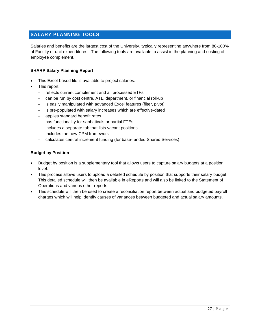## <span id="page-27-0"></span>**SALARY PLANNING TOOLS**

Salaries and benefits are the largest cost of the University, typically representing anywhere from 80-100% of Faculty or unit expenditures. The following tools are available to assist in the planning and costing of employee complement.

#### **SHARP Salary Planning Report**

- This Excel-based file is available to project salaries.
- This report:
	- − reflects current complement and all processed ETFs
	- can be run by cost centre, ATL, department, or financial roll-up
	- is easily manipulated with advanced Excel features (filter, pivot)
	- − is pre-populated with salary increases which are effective-dated
	- − applies standard benefit rates
	- − has functionality for sabbaticals or partial FTEs
	- − includes a separate tab that lists vacant positions
	- − Includes the new CPM framework
	- − calculates central increment funding (for base-funded Shared Services)

#### **Budget by Position**

- Budget by position is a supplementary tool that allows users to capture salary budgets at a position level.
- This process allows users to upload a detailed schedule by position that supports their salary budget. This detailed schedule will then be available in eReports and will also be linked to the Statement of Operations and various other reports.
- This schedule will then be used to create a reconciliation report between actual and budgeted payroll charges which will help identify causes of variances between budgeted and actual salary amounts.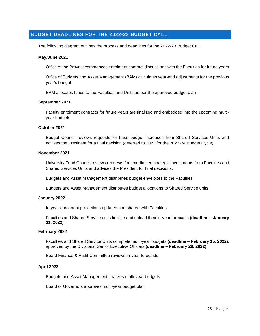## <span id="page-28-0"></span>**BUDGET DEADLINES FOR THE 2022-23 BUDGET CALL**

The following diagram outlines the process and deadlines for the 2022-23 Budget Call:

#### **May/June 2021**

Office of the Provost commences enrolment contract discussions with the Faculties for future years

Office of Budgets and Asset Management (BAM) calculates year-end adjustments for the previous year's budget

BAM allocates funds to the Faculties and Units as per the approved budget plan

#### **September 2021**

Faculty enrolment contracts for future years are finalized and embedded into the upcoming multiyear budgets

#### **October 2021**

Budget Council reviews requests for base budget increases from Shared Services Units and advises the President for a final decision (deferred to 2022 for the 2023-24 Budget Cycle).

#### **November 2021**

University Fund Council reviews requests for time-limited strategic investments from Faculties and Shared Services Units and advises the President for final decisions.

Budgets and Asset Management distributes budget envelopes to the Faculties

Budgets and Asset Management distributes budget allocations to Shared Service units

#### **January 2022**

In-year enrolment projections updated and shared with Faculties

Faculties and Shared Service units finalize and upload their in-year forecasts **(deadline – January 31, 2022)**

#### **February 2022**

Faculties and Shared Service Units complete multi-year budgets **(deadline – February 15, 2022)**, approved by the Divisional Senior Executive Officers **(deadline – February 28, 2022)**

Board Finance & Audit Committee reviews in-year forecasts

#### **April 2022**

Budgets and Asset Management finalizes multi-year budgets

Board of Governors approves multi-year budget plan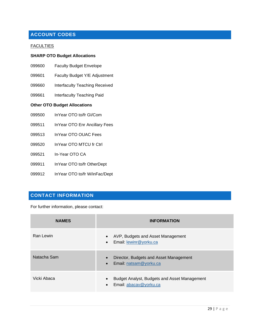## <span id="page-29-0"></span>**ACCOUNT CODES**

#### **FACULTIES**

#### **SHARP OTO Budget Allocations**

- 099600 Faculty Budget Envelope
- 099601 Faculty Budget Y/E Adjustment
- 099660 Interfaculty Teaching Received
- 099661 Interfaculty Teaching Paid

#### **Other OTO Budget Allocations**

- 099500 InYear OTO to/fr GI/Com
- 099511 InYear OTO Enr Ancillary Fees
- 099513 InYear OTO OUAC Fees
- 099520 InYear OTO MTCU fr Ctrl
- 099521 In-Year OTO CA
- 099911 InYear OTO to/fr OtherDept
- 099912 InYear OTO to/fr W/inFac/Dept

## <span id="page-29-1"></span>**CONTACT INFORMATION**

For further information, please contact:

| <b>NAMES</b> | <b>INFORMATION</b>                                                                  |
|--------------|-------------------------------------------------------------------------------------|
| Ran Lewin    | AVP, Budgets and Asset Management<br>Email: lewinr@yorku.ca                         |
| Natacha Sam  | Director, Budgets and Asset Management<br>$\bullet$<br>Email: natsam@yorku.ca       |
| Vicki Abaca  | Budget Analyst, Budgets and Asset Management<br>Email: abacav@yorku.ca<br>$\bullet$ |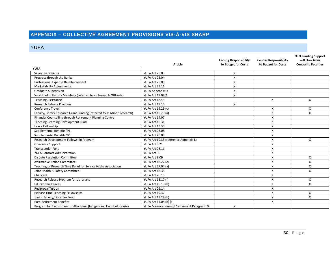# **APPENDIX – COLLECTIVE AGREEMENT PROVISIONS VIS-À-VIS SHARP**

## YUFA

<span id="page-30-1"></span><span id="page-30-0"></span>

|                                                                        |                                           | <b>Faculty Responsibility</b> | <b>Central Responsibility</b> | <b>OTO Funding Support</b><br>will Flow from |
|------------------------------------------------------------------------|-------------------------------------------|-------------------------------|-------------------------------|----------------------------------------------|
|                                                                        | <b>Article</b>                            | to Budget for Costs           | to Budget for Costs           | <b>Central to Faculties</b>                  |
| <b>YUFA</b>                                                            |                                           |                               |                               |                                              |
| Salary Increments                                                      | YUFA Art 25.03                            | Χ                             |                               |                                              |
| Progress through the Ranks                                             | YUFA Art 25.04                            | X                             |                               |                                              |
| Professional Expense Reimbursement                                     | YUFA Art 25.08                            | x                             |                               |                                              |
| <b>Marketability Adjustments</b>                                       | YUFA Art 25.11                            | X                             |                               |                                              |
| <b>Graduate Supervision</b>                                            | YUFA Appendix O                           | X                             |                               |                                              |
| Workload of Faculty Members (referred to as Research Offloads)         | YUFA Art 18.08.2                          | X                             |                               |                                              |
| <b>Teaching Assistance</b>                                             | YUFA Art 18.43                            |                               | Χ                             | Χ                                            |
| Research Release Program                                               | YUFA Art 18.15                            | x                             |                               |                                              |
| Conference Travel                                                      | YUFA Art 19.29 (c)                        |                               | Χ                             | Χ                                            |
| Faculty/Library Research Grant Funding (referred to as Minor Research) | YUFA Art 19.29 (a)                        |                               | X                             | X                                            |
| Financial Counselling through Retirement Planning Centre               | <b>YUFA Art 14.07</b>                     |                               | $\boldsymbol{\mathsf{x}}$     |                                              |
| Teaching-Learning Development Fund                                     | YUFA Art 19.31                            |                               | X                             |                                              |
| Leave Fellowship                                                       | YUFA Art 19.30                            |                               | X                             |                                              |
| Supplemental Benefits '91                                              | <b>YUFA Art 26.08</b>                     |                               | X                             |                                              |
| Supplemental Benefits '96                                              | <b>YUFA Art 26.08</b>                     |                               | X                             |                                              |
| Research Development Fellowship Program                                | YUFA Art 19.33 (reference Appendix L)     |                               | X                             | X                                            |
| <b>Grievance Support</b>                                               | YUFA Art 9.21                             |                               | X                             |                                              |
| Transgender Fund                                                       | YUFA Art 26.11                            |                               | X                             |                                              |
| <b>YUFA Contract Administration</b>                                    | YUFA Art 30                               |                               | X                             |                                              |
| <b>Dispute Resolution Committee</b>                                    | YUFA Art 9.09                             |                               | $\boldsymbol{\mathsf{x}}$     | X                                            |
| <b>Affirmative Action Committee</b>                                    | YUFA Art 12.22 (c)                        |                               | Χ                             | X                                            |
| Teaching or Research Time Relief for Service to the Association        | YUFA Art 27.04 (a)                        |                               | X                             | X                                            |
| Joint Health & Safety Committee                                        | YUFA Art 18.38                            |                               | X                             | x                                            |
| Childcare                                                              | YUFA Art 26.15                            |                               | X                             |                                              |
| Research Release Program for Librarians                                | YUFA Art 18.17 (f)                        |                               | X                             | X                                            |
| <b>Educational Leaves</b>                                              | YUFA Art 19.19 (b)                        |                               | X                             | X                                            |
| <b>Reciprocal Tuition</b>                                              | YUFA Art 26.14                            |                               | $\boldsymbol{\mathsf{x}}$     |                                              |
| Release Time Teaching Fellowships                                      | YUFA Art 19.32                            |                               | X                             | Χ                                            |
| Junior Faculty/Librarian Fund                                          | YUFA Art 19.29 (b)                        |                               | X                             | X                                            |
| <b>Post-Retirement Benefits</b>                                        | YUFA Art 14.08 (b) (ii)                   |                               | X                             |                                              |
| Program for Recruitment of Aboriginal (Indigenous) Faculty/Libraries   | YUFA Memorandum of Settlement Paragraph 9 | x                             |                               |                                              |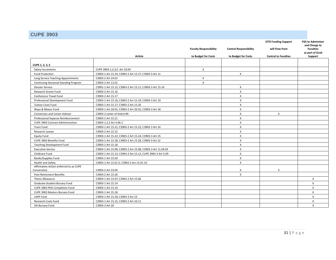## CUPE 3903

<span id="page-31-0"></span>

|                                              |                                                            |                               |                               | <b>OTO Funding Support</b>  | <b>FGS to Administer</b>                             |
|----------------------------------------------|------------------------------------------------------------|-------------------------------|-------------------------------|-----------------------------|------------------------------------------------------|
|                                              |                                                            | <b>Faculty Responsibility</b> | <b>Central Responsibility</b> | will Flow from              | and Charge to<br><b>Faculties</b><br>as part of Grad |
|                                              | Article                                                    | to Budget for Costs           | to Budget for Costs           | <b>Central to Faculties</b> | Support                                              |
|                                              |                                                            |                               |                               |                             |                                                      |
| CUPE 1, 2, 3, E                              |                                                            |                               |                               |                             |                                                      |
| Salary Increments                            | CUPE 3903-1,2,3,E Art 10.04                                | X                             |                               |                             |                                                      |
| <b>Fund Protection</b>                       | C3903-1 Art 15.24; C3903-2 Art 15.27; C3903-3 Art 21       |                               | X                             |                             |                                                      |
| Long Service Teaching Appointments           | C3903-2 Art 24.01                                          | X                             |                               |                             |                                                      |
| <b>Continuing Sessional Standing Program</b> | C3903-2 Art 12.01                                          | $\mathsf{x}$                  |                               |                             |                                                      |
| <b>Dossier Service</b>                       | C3901-1 Art 15.12; C3903-2 Art 15.11; C3903-3 Art 15.10    |                               | X                             |                             |                                                      |
| Research Grants Fund                         | C3903-2 Art 15.16                                          |                               | X                             |                             |                                                      |
| Conference Travel Fund                       | C3903-2 Art 15.17                                          |                               | X                             |                             |                                                      |
| Professional Development Fund                | C3903-1 Art 15.16; C3903-2 Art 15.19; C3903-3 Art 19       |                               | X                             |                             |                                                      |
| <b>Tuition Costs Fund</b>                    | C3903-1 Art 15.17; C3903-2 Art 15.20                       |                               | X                             |                             |                                                      |
| Ways & Means Fund.                           | C3903-1 Art 20.01; C3903-2 Art 20.01; C3903-3 Art 18       |                               | X                             |                             |                                                      |
| Conversion and Career Advisor                | C3903-2 Letter of Intent #9                                |                               | X                             | X                           |                                                      |
| Professional Expense Reimbursement           | C3903-2 Art 15.21                                          |                               | X                             |                             |                                                      |
| <b>CUPE 3903 Contract Administration</b>     | C3903-1,2,3 Art 4.06.2                                     |                               | X                             |                             |                                                      |
| <b>Trans Fund</b>                            | C3903-1 Art 15.21; C3903-2 Art 15.23, C3903-3 Art 24       |                               | X                             |                             |                                                      |
| Research Leaves                              | C3903-2 Art 15.15                                          |                               | $\boldsymbol{\mathsf{x}}$     |                             |                                                      |
| <b>Equity Fund</b>                           | C3903-1 Art 15.22; C3903-2 Art 15.24; C3903-3 Art 25       |                               | $\boldsymbol{\mathsf{X}}$     |                             |                                                      |
| CUPE 3903 Benefits Fund                      | C3903-1 Art 15.26; C3903-2 Art 15.28, C3903-3 Art 22       |                               | $\boldsymbol{\mathsf{X}}$     |                             |                                                      |
| <b>Teaching Development Fund</b>             | C3903-2 Art 15.18                                          |                               | X                             |                             |                                                      |
| <b>Executive Service</b>                     | C3903-1 Art 15.09; C3903-2 Art 15.08; C3903-3 Art 11.04.03 |                               | X                             |                             |                                                      |
| Childcare Fund                               | C3903-1 Art 15.13; C3903-2 Art 15.12; CUPE 3903-3 Art 5.09 |                               | X                             |                             |                                                      |
| Books/Supplies Fund                          | C3903-1 Art 15.03                                          |                               | X                             |                             |                                                      |
| Health and Safety                            | C3903-1 Art 15.01.5; C3903-2 Art 15.01.10                  |                               | X                             |                             |                                                      |
| Affirmative Action (referred to as CUPE      |                                                            |                               |                               |                             |                                                      |
| Conversion)                                  | C3903-2 Art 23.04                                          |                               | X                             | х                           |                                                      |
| <b>Post-Retirement Benefits</b>              | C3903-2 Art 15.26                                          |                               | $\mathsf{x}$                  |                             |                                                      |
| Thesis Allowance                             | C3903-1 Art 15.07; C3903-2 Art 15.06                       |                               |                               |                             | X                                                    |
| Graduate Student Bursary Fund                | C3903-1 Art 15.14                                          |                               |                               |                             | X                                                    |
| CUPE 3903 PhD Completion Fund                | C3903-1 Art 15.19                                          |                               |                               |                             | $\mathsf{x}$                                         |
| CUPE 3903 Masters Bursary Fund               | C3903-1 Art 15.18                                          |                               |                               |                             | X                                                    |
| <b>UHIP Fund</b>                             | C3903-1 Art 15.20; C3903-3 Art 23                          |                               |                               |                             | X                                                    |
| Research Costs Fund                          | C3903-1 Art 15.15; C3903-2 Art 10.11                       |                               |                               |                             | X                                                    |
| <b>GA Bursary Fund</b>                       | C3903-3 Art 20                                             |                               |                               |                             | X                                                    |